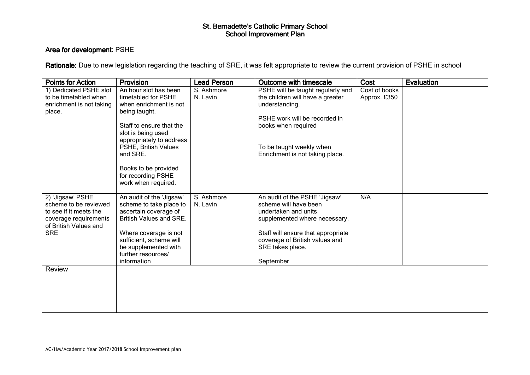## St. Bernadette's Catholic Primary School<br>School Improvement Plan

#### Area for development: PSHE

Rationale: Due to new legislation regarding the teaching of SRE, it was felt appropriate to review the current provision of PSHE in school

| <b>Points for Action</b>                                                                                                            | <b>Provision</b>                                                                                                                                                                                                                                                               | <b>Lead Person</b>     | <b>Outcome with timescale</b>                                                                                                                                                                                            | Cost                          | <b>Evaluation</b> |
|-------------------------------------------------------------------------------------------------------------------------------------|--------------------------------------------------------------------------------------------------------------------------------------------------------------------------------------------------------------------------------------------------------------------------------|------------------------|--------------------------------------------------------------------------------------------------------------------------------------------------------------------------------------------------------------------------|-------------------------------|-------------------|
| 1) Dedicated PSHE slot<br>to be timetabled when<br>enrichment is not taking<br>place.                                               | An hour slot has been<br>timetabled for PSHE<br>when enrichment is not<br>being taught.<br>Staff to ensure that the<br>slot is being used<br>appropriately to address<br>PSHE, British Values<br>and SRE.<br>Books to be provided<br>for recording PSHE<br>work when required. | S. Ashmore<br>N. Lavin | PSHE will be taught regularly and<br>the children will have a greater<br>understanding.<br>PSHE work will be recorded in<br>books when required<br>To be taught weekly when<br>Enrichment is not taking place.           | Cost of books<br>Approx. £350 |                   |
| 2) 'Jigsaw' PSHE<br>scheme to be reviewed<br>to see if it meets the<br>coverage requirements<br>of British Values and<br><b>SRE</b> | An audit of the 'Jigsaw'<br>scheme to take place to<br>ascertain coverage of<br><b>British Values and SRE.</b><br>Where coverage is not<br>sufficient, scheme will<br>be supplemented with<br>further resources/<br>information                                                | S. Ashmore<br>N. Lavin | An audit of the PSHE 'Jigsaw'<br>scheme will have been<br>undertaken and units<br>supplemented where necessary.<br>Staff will ensure that appropriate<br>coverage of British values and<br>SRE takes place.<br>September | N/A                           |                   |
| Review                                                                                                                              |                                                                                                                                                                                                                                                                                |                        |                                                                                                                                                                                                                          |                               |                   |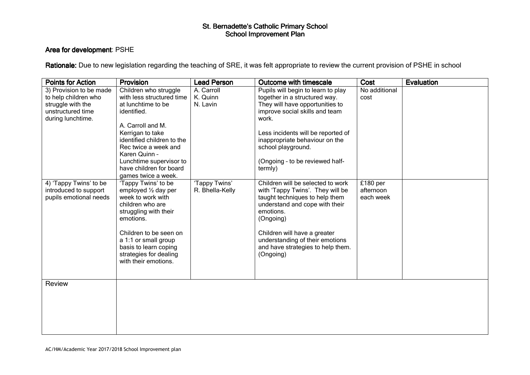## St. Bernadette's Catholic Primary School<br>School Improvement Plan

#### Area for development: PSHE

Rationale: Due to new legislation regarding the teaching of SRE, it was felt appropriate to review the current provision of PSHE in school

| <b>Points for Action</b> | <b>Provision</b>           | <b>Lead Person</b> | <b>Outcome with timescale</b>      | Cost                | <b>Evaluation</b> |
|--------------------------|----------------------------|--------------------|------------------------------------|---------------------|-------------------|
| 3) Provision to be made  | Children who struggle      | A. Carroll         | Pupils will begin to learn to play | No additional       |                   |
| to help children who     | with less structured time  | K. Quinn           | together in a structured way.      | cost                |                   |
| struggle with the        | at lunchtime to be         | N. Lavin           | They will have opportunities to    |                     |                   |
| unstructured time        | identified.                |                    | improve social skills and team     |                     |                   |
| during lunchtime.        |                            |                    | work.                              |                     |                   |
|                          | A. Carroll and M.          |                    |                                    |                     |                   |
|                          | Kerrigan to take           |                    | Less incidents will be reported of |                     |                   |
|                          | identified children to the |                    | inappropriate behaviour on the     |                     |                   |
|                          | Rec twice a week and       |                    | school playground.                 |                     |                   |
|                          | Karen Quinn -              |                    |                                    |                     |                   |
|                          | Lunchtime supervisor to    |                    | (Ongoing - to be reviewed half-    |                     |                   |
|                          | have children for board    |                    | termly)                            |                     |                   |
|                          | games twice a week.        |                    |                                    |                     |                   |
| 4) 'Tappy Twins' to be   | 'Tappy Twins' to be        | 'Tappy Twins'      | Children will be selected to work  | £180 <sub>per</sub> |                   |
| introduced to support    | employed 1/2 day per       | R. Bhella-Kelly    | with 'Tappy Twins'. They will be   | afternoon           |                   |
| pupils emotional needs   | week to work with          |                    | taught techniques to help them     | each week           |                   |
|                          | children who are           |                    | understand and cope with their     |                     |                   |
|                          | struggling with their      |                    | emotions.                          |                     |                   |
|                          | emotions.                  |                    | (Ongoing)                          |                     |                   |
|                          |                            |                    |                                    |                     |                   |
|                          | Children to be seen on     |                    | Children will have a greater       |                     |                   |
|                          | a 1:1 or small group       |                    | understanding of their emotions    |                     |                   |
|                          | basis to learn coping      |                    | and have strategies to help them.  |                     |                   |
|                          | strategies for dealing     |                    | (Ongoing)                          |                     |                   |
|                          | with their emotions.       |                    |                                    |                     |                   |
|                          |                            |                    |                                    |                     |                   |
|                          |                            |                    |                                    |                     |                   |
| Review                   |                            |                    |                                    |                     |                   |
|                          |                            |                    |                                    |                     |                   |
|                          |                            |                    |                                    |                     |                   |
|                          |                            |                    |                                    |                     |                   |
|                          |                            |                    |                                    |                     |                   |
|                          |                            |                    |                                    |                     |                   |
|                          |                            |                    |                                    |                     |                   |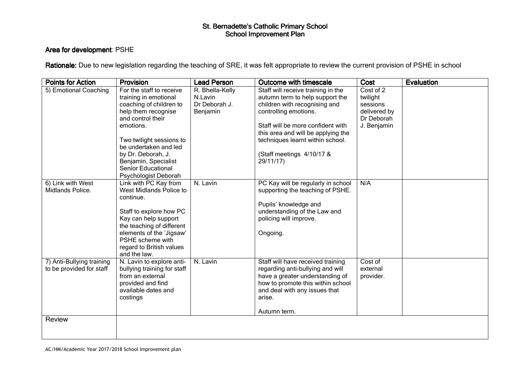# St. Bernadette's Catholic Primary School<br>School Improvement Plan

#### Area for development: PSHE

Rationale: Due to new legislation regarding the teaching of SRE, it was felt appropriate to review the current provision of PSHE in school

| <b>Points for Action</b>                                        | Provision                                                                                                                                                                                                                                                                              | <b>Lead Person</b>                                      | <b>Outcome with timescale</b>                                                                                                                                                                                                                                                            | Cost                                                                           | Evaluation |
|-----------------------------------------------------------------|----------------------------------------------------------------------------------------------------------------------------------------------------------------------------------------------------------------------------------------------------------------------------------------|---------------------------------------------------------|------------------------------------------------------------------------------------------------------------------------------------------------------------------------------------------------------------------------------------------------------------------------------------------|--------------------------------------------------------------------------------|------------|
| 5) Emotional Coaching                                           | For the staff to receive<br>training in emotional<br>coaching of children to<br>help them recognise<br>and control their<br>emotions.<br>Two twilight sessions to<br>be undertaken and led<br>by Dr. Deborah, J.<br>Benjamin, Specialist<br>Senior Educational<br>Psychologist Deborah | R. Bhella-Kelly<br>N.Lavin<br>Dr Deborah J.<br>Benjamin | Staff will receive training in the<br>autumn term to help support the<br>children with recognising and<br>controlling emotions.<br>Staff will be more confident with<br>this area and will be applying the<br>techniques learnt within school.<br>(Staff meetings 4/10/17 &<br>29/11/17) | Cost of 2<br>twilight<br>sessions<br>delivered by<br>Dr Deborah<br>J. Benjamin |            |
| 6) Link with West<br>Midlands Police.                           | Link with PC Kay from<br>West Midlands Police to<br>continue.<br>Staff to explore how PC<br>Kay can help support<br>the teaching of different<br>elements of the 'Jigsaw'<br>PSHE scheme with<br>regard to British values<br>and the law.                                              | N. Lavin                                                | PC Kay will be regularly in school<br>supporting the teaching of PSHE.<br>Pupils' knowledge and<br>understanding of the Law and<br>policing will improve.<br>Ongoing.                                                                                                                    | N/A                                                                            |            |
| 7) Anti-Bullying training<br>to be provided for staff<br>Review | N. Lavin to explore anti-<br>bullying training for staff<br>from an external<br>provided and find<br>available dates and<br>costings                                                                                                                                                   | N. Lavin                                                | Staff will have received training<br>regarding anti-bullying and will<br>have a greater understanding of<br>how to promote this within school<br>and deal with any issues that<br>arise.<br>Autumn term.                                                                                 | Cost of<br>external<br>provider.                                               |            |
|                                                                 |                                                                                                                                                                                                                                                                                        |                                                         |                                                                                                                                                                                                                                                                                          |                                                                                |            |